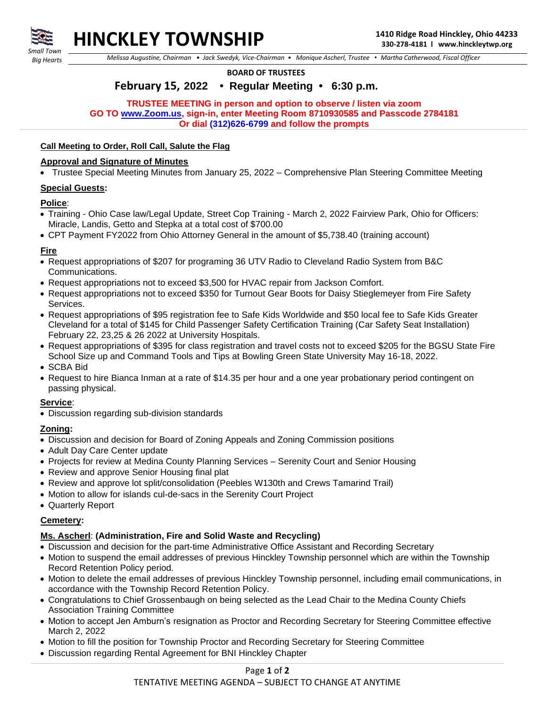

*Small Town Big Hearts*

 *Melissa Augustine, Chairman • Jack Swedyk, Vice-Chairman • Monique Ascherl, Trustee • Martha Catherwood, Fiscal Officer*

**BOARD OF TRUSTEES**

# **February 15, 2022 • Regular Meeting • 6:30 p.m.**

#### **TRUSTEE MEETING in person and option to observe / listen via zoom GO TO [www.Zoom.us,](http://www.zoom.us/) sign-in, enter Meeting Room 8710930585 and Passcode 2784181 Or dial (312)626-6799 and follow the prompts**

# **Call Meeting to Order, Roll Call, Salute the Flag**

#### **Approval and Signature of Minutes**

• Trustee Special Meeting Minutes from January 25, 2022 – Comprehensive Plan Steering Committee Meeting

#### **Special Guests:**

#### **Police**:

- Training Ohio Case law/Legal Update, Street Cop Training March 2, 2022 Fairview Park, Ohio for Officers: Miracle, Landis, Getto and Stepka at a total cost of \$700.00
- CPT Payment FY2022 from Ohio Attorney General in the amount of \$5,738.40 (training account)

#### **Fire**

- Request appropriations of \$207 for programing 36 UTV Radio to Cleveland Radio System from B&C Communications.
- Request appropriations not to exceed \$3,500 for HVAC repair from Jackson Comfort.
- Request appropriations not to exceed \$350 for Turnout Gear Boots for Daisy Stieglemeyer from Fire Safety Services.
- Request appropriations of \$95 registration fee to Safe Kids Worldwide and \$50 local fee to Safe Kids Greater Cleveland for a total of \$145 for Child Passenger Safety Certification Training (Car Safety Seat Installation) February 22, 23,25 & 26 2022 at University Hospitals.
- Request appropriations of \$395 for class registration and travel costs not to exceed \$205 for the BGSU State Fire School Size up and Command Tools and Tips at Bowling Green State University May 16-18, 2022.
- SCBA Bid
- Request to hire Bianca Inman at a rate of \$14.35 per hour and a one year probationary period contingent on passing physical.

#### **Service**:

• Discussion regarding sub-division standards

## **Zoning:**

- Discussion and decision for Board of Zoning Appeals and Zoning Commission positions
- Adult Day Care Center update
- Projects for review at Medina County Planning Services Serenity Court and Senior Housing
- Review and approve Senior Housing final plat
- Review and approve lot split/consolidation (Peebles W130th and Crews Tamarind Trail)
- Motion to allow for islands cul-de-sacs in the Serenity Court Project
- Quarterly Report

## **Cemetery:**

## **Ms. Ascherl**: **(Administration, Fire and Solid Waste and Recycling)**

- Discussion and decision for the part-time Administrative Office Assistant and Recording Secretary
- Motion to suspend the email addresses of previous Hinckley Township personnel which are within the Township Record Retention Policy period.
- Motion to delete the email addresses of previous Hinckley Township personnel, including email communications, in accordance with the Township Record Retention Policy.
- Congratulations to Chief Grossenbaugh on being selected as the Lead Chair to the Medina County Chiefs Association Training Committee
- Motion to accept Jen Amburn's resignation as Proctor and Recording Secretary for Steering Committee effective March 2, 2022
- Motion to fill the position for Township Proctor and Recording Secretary for Steering Committee
- Discussion regarding Rental Agreement for BNI Hinckley Chapter